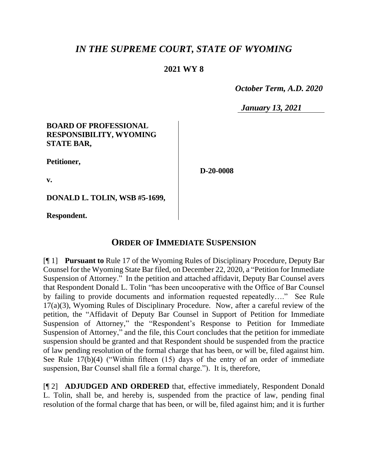# *IN THE SUPREME COURT, STATE OF WYOMING*

### **2021 WY 8**

 *October Term, A.D. 2020*

*January 13, 2021*

#### **BOARD OF PROFESSIONAL RESPONSIBILITY, WYOMING STATE BAR,**

**Petitioner,**

**v.**

**D-20-0008**

**DONALD L. TOLIN, WSB #5-1699,**

**Respondent.**

## **ORDER OF IMMEDIATE SUSPENSION**

[¶ 1] **Pursuant to** Rule 17 of the Wyoming Rules of Disciplinary Procedure, Deputy Bar Counsel for the Wyoming State Bar filed, on December 22, 2020, a "Petition for Immediate Suspension of Attorney." In the petition and attached affidavit, Deputy Bar Counsel avers that Respondent Donald L. Tolin "has been uncooperative with the Office of Bar Counsel by failing to provide documents and information requested repeatedly…." See Rule 17(a)(3), Wyoming Rules of Disciplinary Procedure. Now, after a careful review of the petition, the "Affidavit of Deputy Bar Counsel in Support of Petition for Immediate Suspension of Attorney," the "Respondent's Response to Petition for Immediate Suspension of Attorney," and the file, this Court concludes that the petition for immediate suspension should be granted and that Respondent should be suspended from the practice of law pending resolution of the formal charge that has been, or will be, filed against him. See Rule 17(b)(4) ("Within fifteen (15) days of the entry of an order of immediate suspension, Bar Counsel shall file a formal charge."). It is, therefore,

[¶ 2] **ADJUDGED AND ORDERED** that, effective immediately, Respondent Donald L. Tolin, shall be, and hereby is, suspended from the practice of law, pending final resolution of the formal charge that has been, or will be, filed against him; and it is further